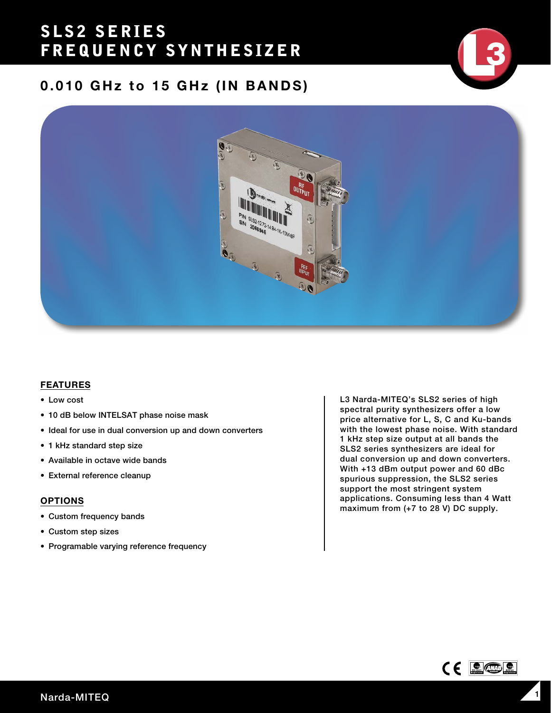## SLS2 SERIES FREQUENCY SYNTHESIZER

## 0.010 GHz to 15 GHz (IN BANDS)



### FEATURES

- Low cost
- 10 dB below INTELSAT phase noise mask
- Ideal for use in dual conversion up and down converters
- 1 kHz standard step size
- Available in octave wide bands
- External reference cleanup

#### OPTIONS

- Custom frequency bands
- Custom step sizes
- Programable varying reference frequency

L3 Narda-MITEQ's SLS2 series of high spectral purity synthesizers offer a low price alternative for L, S, C and Ku-bands with the lowest phase noise. With standard 1 kHz step size output at all bands the SLS2 series synthesizers are ideal for dual conversion up and down converters. With +13 dBm output power and 60 dBc spurious suppression, the SLS2 series support the most stringent system applications. Consuming less than 4 Watt maximum from (+7 to 28 V) DC supply.

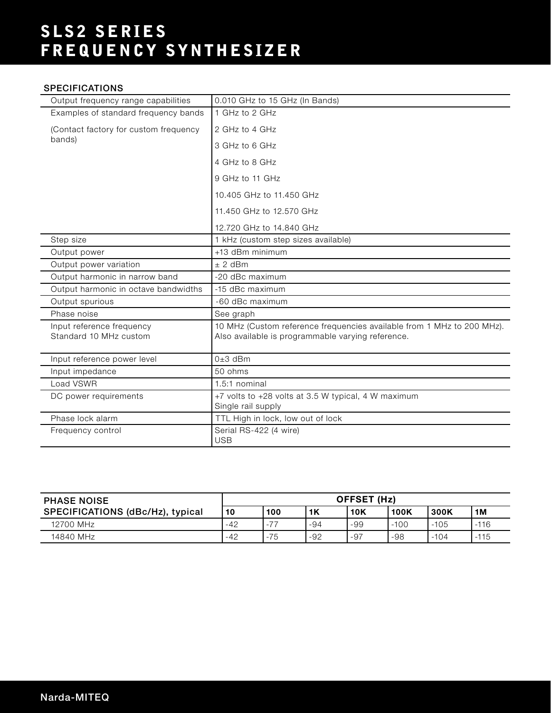# SLS2 SERIES FREQUENCY SYNTHESIZER

### **SPECIFICATIONS**

| Output frequency range capabilities                 | 0.010 GHz to 15 GHz (In Bands)                                                                                              |
|-----------------------------------------------------|-----------------------------------------------------------------------------------------------------------------------------|
| Examples of standard frequency bands                | 1 GHz to 2 GHz                                                                                                              |
| (Contact factory for custom frequency               | 2 GHz to 4 GHz                                                                                                              |
| bands)                                              | 3 GHz to 6 GHz                                                                                                              |
|                                                     | 4 GHz to 8 GHz                                                                                                              |
|                                                     | 9 GHz to 11 GHz                                                                                                             |
|                                                     | 10.405 GHz to 11.450 GHz                                                                                                    |
|                                                     | 11.450 GHz to 12.570 GHz                                                                                                    |
|                                                     | 12.720 GHz to 14.840 GHz                                                                                                    |
| Step size                                           | 1 kHz (custom step sizes available)                                                                                         |
| Output power                                        | +13 dBm minimum                                                                                                             |
| Output power variation                              | $± 2$ dBm                                                                                                                   |
| Output harmonic in narrow band                      | -20 dBc maximum                                                                                                             |
| Output harmonic in octave bandwidths                | -15 dBc maximum                                                                                                             |
| Output spurious                                     | -60 dBc maximum                                                                                                             |
| Phase noise                                         | See graph                                                                                                                   |
| Input reference frequency<br>Standard 10 MHz custom | 10 MHz (Custom reference frequencies available from 1 MHz to 200 MHz).<br>Also available is programmable varying reference. |
| Input reference power level                         | $0±3$ dBm                                                                                                                   |
| Input impedance                                     | $50 \text{ ohms}$                                                                                                           |
| Load VSWR                                           | 1.5:1 nominal                                                                                                               |
| DC power requirements                               | +7 volts to +28 volts at 3.5 W typical, 4 W maximum<br>Single rail supply                                                   |
| Phase lock alarm                                    | TTL High in lock, low out of lock                                                                                           |
| Frequency control                                   | Serial RS-422 (4 wire)<br><b>USB</b>                                                                                        |

| <b>PHASE NOISE</b>               | OFFSET (Hz) |             |       |            |             |        |        |
|----------------------------------|-------------|-------------|-------|------------|-------------|--------|--------|
| SPECIFICATIONS (dBc/Hz), typical | 10          | 100         | 1K    | <b>10K</b> | <b>100K</b> | 300K   | 1M     |
| 12700 MHz                        | $-42$       | -77<br>$-1$ | $-94$ | -99        | $-100$      | $-105$ | $-116$ |
| 14840 MHz                        | $-42$       | $-75$       | $-92$ | -97        | -98         | $-104$ | $-115$ |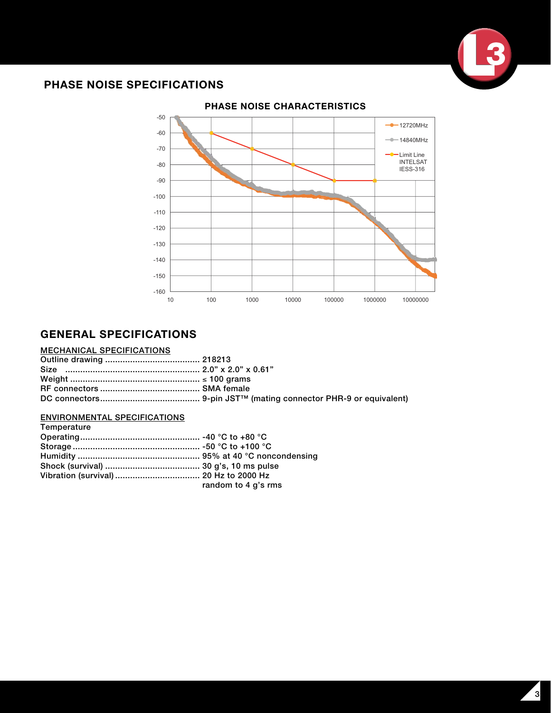

## PHASE NOISE SPECIFICATIONS



## GENERAL SPECIFICATIONS

#### MECHANICAL SPECIFICATIONS

### ENVIRONMENTAL SPECIFICATIONS

| Temperature |                     |
|-------------|---------------------|
|             |                     |
|             |                     |
|             |                     |
|             |                     |
|             |                     |
|             | random to 4 g's rms |